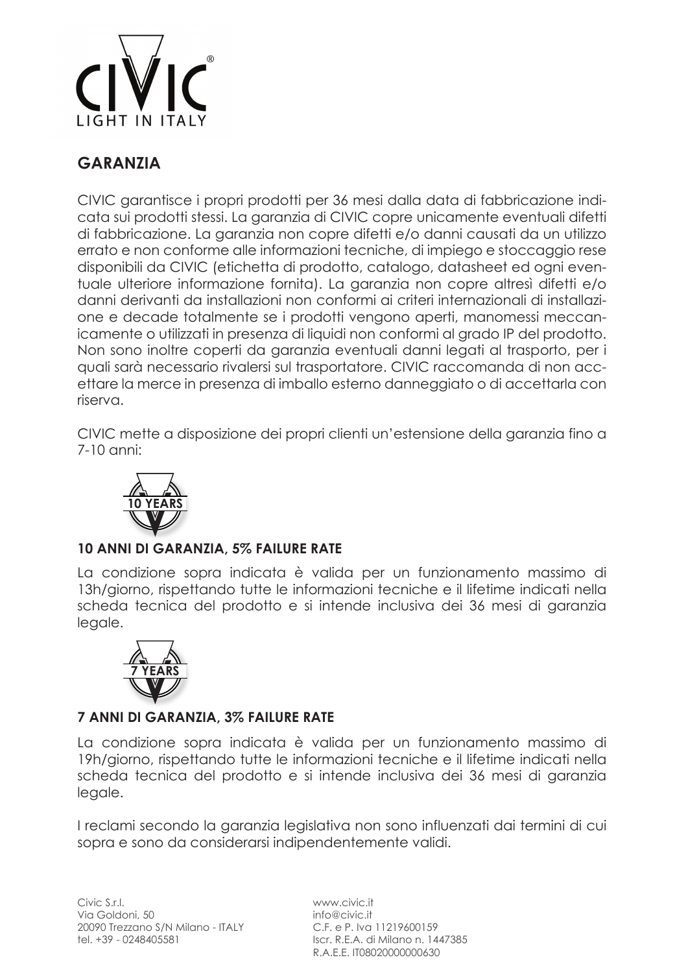

# **GARANZIA**

CIVIC garantisce i propri prodotti per 36 mesi dalla data di fabbricazione indicata sui prodotti stessi. La garanzia di CIVIC copre unicamente eventuali difetti di fabbricazione. La garanzia non copre difetti e/o danni causati da un utilizzo errato e non conforme alle informazioni tecniche, di impiego e stoccaggio rese disponibili da CIVIC (etichetta di prodotto, catalogo, datasheet ed ogni eventuale ulteriore informazione fornita). La garanzia non copre altresì difetti e/o danni derivanti da installazioni non conformi ai criteri internazionali di installazione e decade totalmente se i prodotti vengono aperti, manomessi meccanicamente o utilizzati in presenza di liquidi non conformi al grado IP del prodotto. Non sono inoltre coperti da garanzia eventuali danni legati al trasporto, per i quali sarà necessario rivalersi sul trasportatore. CIVIC raccomanda di non accettare la merce in presenza di imballo esterno danneggiato o di accettarla con riserva.

CIVIC mette a disposizione dei propri clienti un'estensione della garanzia fino a 7-10 anni:



### **10 ANNI DI GARANZIA, 5% FAILURE RATE**

La condizione sopra indicata è valida per un funzionamento massimo di 13h/giorno, rispettando tutte le informazioni tecniche e il lifetime indicati nella scheda tecnica del prodotto e si intende inclusiva dei 36 mesi di garanzia legale.



#### **7 ANNI DI GARANZIA, 3% FAILURE RATE**

La condizione sopra indicata è valida per un funzionamento massimo di 19h/giorno, rispettando tutte le informazioni tecniche e il lifetime indicati nella scheda tecnica del prodotto e si intende inclusiva dei 36 mesi di garanzia legale.

I reclami secondo la garanzia legislativa non sono influenzati dai termini di cui sopra e sono da considerarsi indipendentemente validi.

www.civic.it info@civic.it C.F. e P. Iva 11219600159 Iscr. R.E.A. di Milano n. 1447385 R.A.E.E. IT08020000000630